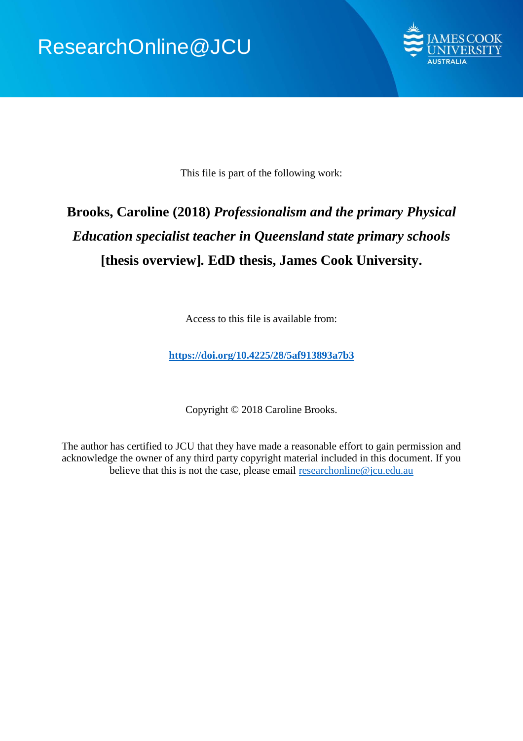

This file is part of the following work:

# **Brooks, Caroline (2018)** *Professionalism and the primary Physical Education specialist teacher in Queensland state primary schools* **[thesis overview]***.* **EdD thesis, James Cook University.**

Access to this file is available from:

**<https://doi.org/10.4225/28/5af913893a7b3>**

Copyright © 2018 Caroline Brooks.

The author has certified to JCU that they have made a reasonable effort to gain permission and acknowledge the owner of any third party copyright material included in this document. If you believe that this is not the case, please email [researchonline@jcu.edu.au](mailto:researchonline@jcu.edu.au)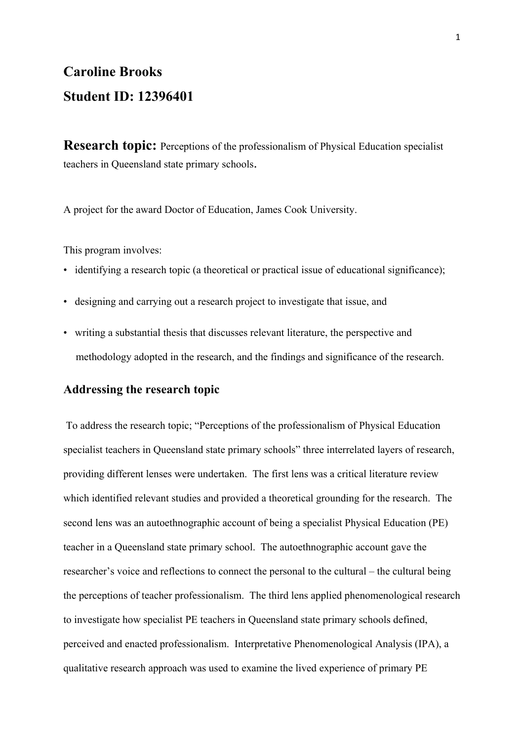# **Caroline Brooks Student ID: 12396401**

**Research topic:** Perceptions of the professionalism of Physical Education specialist teachers in Queensland state primary schools.

A project for the award Doctor of Education, James Cook University.

This program involves:

- identifying a research topic (a theoretical or practical issue of educational significance);
- designing and carrying out a research project to investigate that issue, and
- writing a substantial thesis that discusses relevant literature, the perspective and methodology adopted in the research, and the findings and significance of the research.

#### **Addressing the research topic**

 To address the research topic; "Perceptions of the professionalism of Physical Education specialist teachers in Queensland state primary schools" three interrelated layers of research, providing different lenses were undertaken. The first lens was a critical literature review which identified relevant studies and provided a theoretical grounding for the research. The second lens was an autoethnographic account of being a specialist Physical Education (PE) teacher in a Queensland state primary school. The autoethnographic account gave the researcher's voice and reflections to connect the personal to the cultural – the cultural being the perceptions of teacher professionalism. The third lens applied phenomenological research to investigate how specialist PE teachers in Queensland state primary schools defined, perceived and enacted professionalism. Interpretative Phenomenological Analysis (IPA), a qualitative research approach was used to examine the lived experience of primary PE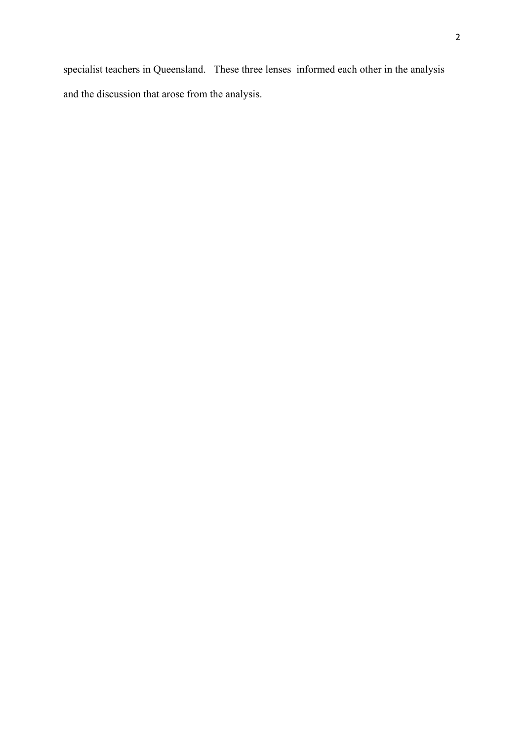specialist teachers in Queensland. These three lenses informed each other in the analysis and the discussion that arose from the analysis.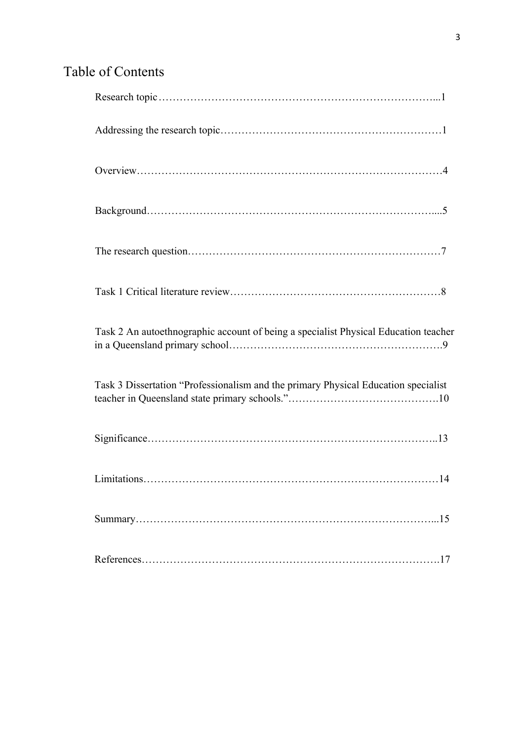# Table of Contents

| Task 2 An autoethnographic account of being a specialist Physical Education teacher |
|-------------------------------------------------------------------------------------|
| Task 3 Dissertation "Professionalism and the primary Physical Education specialist  |
|                                                                                     |
|                                                                                     |
| 15                                                                                  |
|                                                                                     |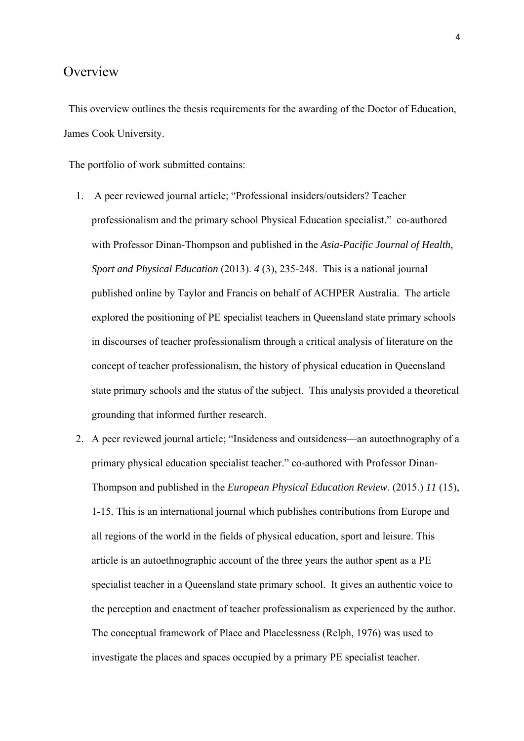### **Overview**

 This overview outlines the thesis requirements for the awarding of the Doctor of Education, James Cook University.

The portfolio of work submitted contains:

- 1. A peer reviewed journal article; "Professional insiders/outsiders? Teacher professionalism and the primary school Physical Education specialist." co-authored with Professor Dinan-Thompson and published in the *Asia-Pacific Journal of Health, Sport and Physical Education* (2013). *4* (3), 235-248. This is a national journal published online by Taylor and Francis on behalf of ACHPER Australia. The article explored the positioning of PE specialist teachers in Queensland state primary schools in discourses of teacher professionalism through a critical analysis of literature on the concept of teacher professionalism, the history of physical education in Queensland state primary schools and the status of the subject. This analysis provided a theoretical grounding that informed further research.
- 2. A peer reviewed journal article; "Insideness and outsideness—an autoethnography of a primary physical education specialist teacher." co-authored with Professor Dinan-Thompson and published in the *European Physical Education Review.* (2015.) *11* (15), 1-15. This is an international journal which publishes contributions from Europe and all regions of the world in the fields of physical education, sport and leisure. This article is an autoethnographic account of the three years the author spent as a PE specialist teacher in a Queensland state primary school. It gives an authentic voice to the perception and enactment of teacher professionalism as experienced by the author. The conceptual framework of Place and Placelessness (Relph, 1976) was used to investigate the places and spaces occupied by a primary PE specialist teacher.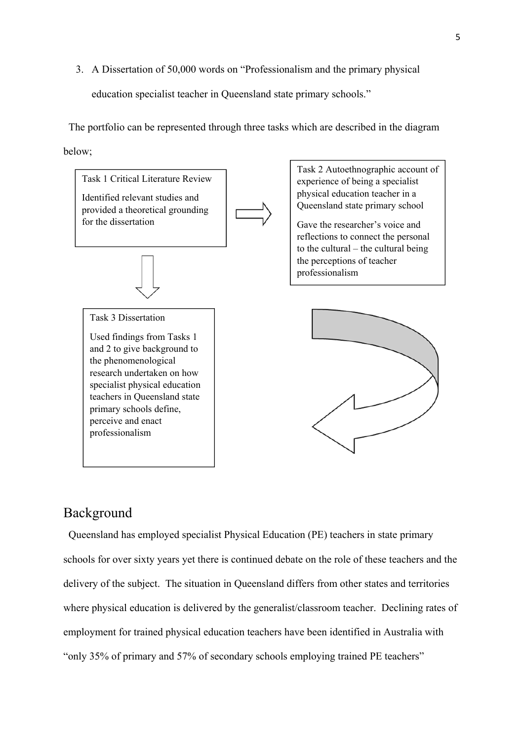3. A Dissertation of 50,000 words on "Professionalism and the primary physical education specialist teacher in Queensland state primary schools."

 The portfolio can be represented through three tasks which are described in the diagram below;



# Background

 Queensland has employed specialist Physical Education (PE) teachers in state primary schools for over sixty years yet there is continued debate on the role of these teachers and the delivery of the subject. The situation in Queensland differs from other states and territories where physical education is delivered by the generalist/classroom teacher. Declining rates of employment for trained physical education teachers have been identified in Australia with "only 35% of primary and 57% of secondary schools employing trained PE teachers"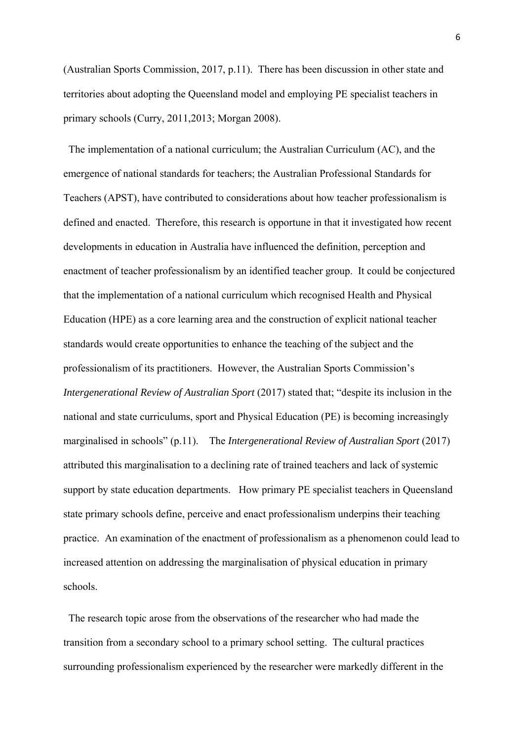(Australian Sports Commission, 2017, p.11). There has been discussion in other state and territories about adopting the Queensland model and employing PE specialist teachers in primary schools (Curry, 2011,2013; Morgan 2008).

 The implementation of a national curriculum; the Australian Curriculum (AC), and the emergence of national standards for teachers; the Australian Professional Standards for Teachers (APST), have contributed to considerations about how teacher professionalism is defined and enacted. Therefore, this research is opportune in that it investigated how recent developments in education in Australia have influenced the definition, perception and enactment of teacher professionalism by an identified teacher group. It could be conjectured that the implementation of a national curriculum which recognised Health and Physical Education (HPE) as a core learning area and the construction of explicit national teacher standards would create opportunities to enhance the teaching of the subject and the professionalism of its practitioners. However, the Australian Sports Commission's *Intergenerational Review of Australian Sport* (2017) stated that; "despite its inclusion in the national and state curriculums, sport and Physical Education (PE) is becoming increasingly marginalised in schools" (p.11). The *Intergenerational Review of Australian Sport* (2017) attributed this marginalisation to a declining rate of trained teachers and lack of systemic support by state education departments. How primary PE specialist teachers in Queensland state primary schools define, perceive and enact professionalism underpins their teaching practice. An examination of the enactment of professionalism as a phenomenon could lead to increased attention on addressing the marginalisation of physical education in primary schools.

 The research topic arose from the observations of the researcher who had made the transition from a secondary school to a primary school setting. The cultural practices surrounding professionalism experienced by the researcher were markedly different in the 6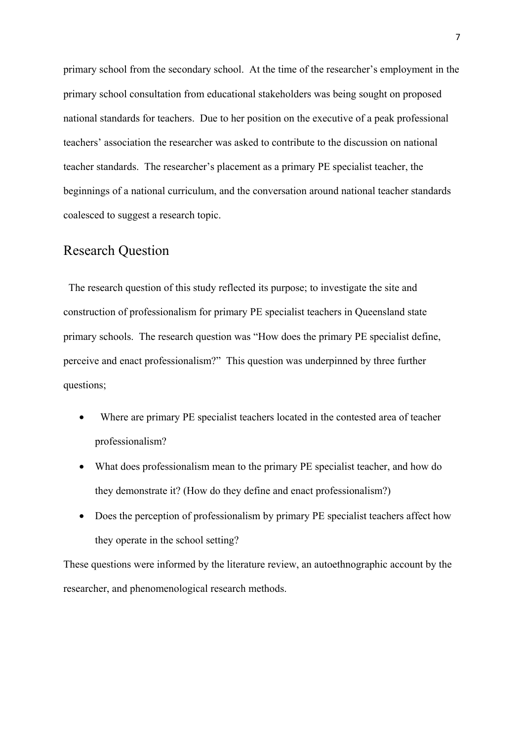primary school from the secondary school. At the time of the researcher's employment in the primary school consultation from educational stakeholders was being sought on proposed national standards for teachers. Due to her position on the executive of a peak professional teachers' association the researcher was asked to contribute to the discussion on national teacher standards. The researcher's placement as a primary PE specialist teacher, the beginnings of a national curriculum, and the conversation around national teacher standards coalesced to suggest a research topic.

# Research Question

 The research question of this study reflected its purpose; to investigate the site and construction of professionalism for primary PE specialist teachers in Queensland state primary schools. The research question was "How does the primary PE specialist define, perceive and enact professionalism?" This question was underpinned by three further questions;

- Where are primary PE specialist teachers located in the contested area of teacher professionalism?
- What does professionalism mean to the primary PE specialist teacher, and how do they demonstrate it? (How do they define and enact professionalism?)
- Does the perception of professionalism by primary PE specialist teachers affect how they operate in the school setting?

These questions were informed by the literature review, an autoethnographic account by the researcher, and phenomenological research methods.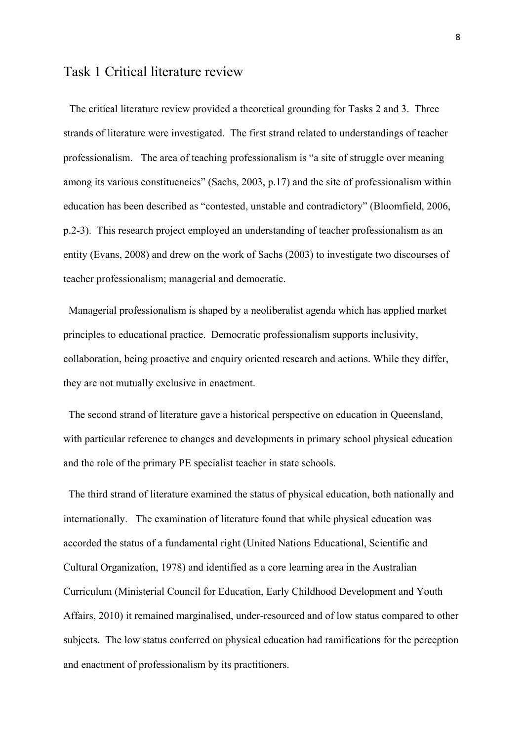### Task 1 Critical literature review

 The critical literature review provided a theoretical grounding for Tasks 2 and 3. Three strands of literature were investigated. The first strand related to understandings of teacher professionalism. The area of teaching professionalism is "a site of struggle over meaning among its various constituencies" (Sachs, 2003, p.17) and the site of professionalism within education has been described as "contested, unstable and contradictory" (Bloomfield, 2006, p.2-3). This research project employed an understanding of teacher professionalism as an entity (Evans, 2008) and drew on the work of Sachs (2003) to investigate two discourses of teacher professionalism; managerial and democratic.

 Managerial professionalism is shaped by a neoliberalist agenda which has applied market principles to educational practice. Democratic professionalism supports inclusivity, collaboration, being proactive and enquiry oriented research and actions. While they differ, they are not mutually exclusive in enactment.

 The second strand of literature gave a historical perspective on education in Queensland, with particular reference to changes and developments in primary school physical education and the role of the primary PE specialist teacher in state schools.

 The third strand of literature examined the status of physical education, both nationally and internationally. The examination of literature found that while physical education was accorded the status of a fundamental right (United Nations Educational, Scientific and Cultural Organization, 1978) and identified as a core learning area in the Australian Curriculum (Ministerial Council for Education, Early Childhood Development and Youth Affairs, 2010) it remained marginalised, under-resourced and of low status compared to other subjects. The low status conferred on physical education had ramifications for the perception and enactment of professionalism by its practitioners.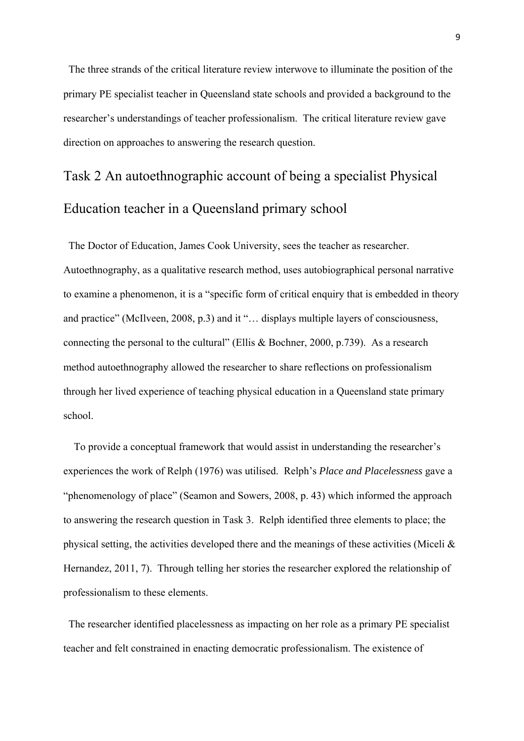The three strands of the critical literature review interwove to illuminate the position of the primary PE specialist teacher in Queensland state schools and provided a background to the researcher's understandings of teacher professionalism. The critical literature review gave direction on approaches to answering the research question.

# Task 2 An autoethnographic account of being a specialist Physical Education teacher in a Queensland primary school

 The Doctor of Education, James Cook University, sees the teacher as researcher. Autoethnography, as a qualitative research method, uses autobiographical personal narrative to examine a phenomenon, it is a "specific form of critical enquiry that is embedded in theory and practice" (McIlveen, 2008, p.3) and it "… displays multiple layers of consciousness, connecting the personal to the cultural" (Ellis & Bochner, 2000, p.739). As a research method autoethnography allowed the researcher to share reflections on professionalism through her lived experience of teaching physical education in a Queensland state primary school.

 To provide a conceptual framework that would assist in understanding the researcher's experiences the work of Relph (1976) was utilised. Relph's *Place and Placelessness* gave a "phenomenology of place" (Seamon and Sowers, 2008, p. 43) which informed the approach to answering the research question in Task 3. Relph identified three elements to place; the physical setting, the activities developed there and the meanings of these activities (Miceli & Hernandez, 2011, 7). Through telling her stories the researcher explored the relationship of professionalism to these elements.

 The researcher identified placelessness as impacting on her role as a primary PE specialist teacher and felt constrained in enacting democratic professionalism. The existence of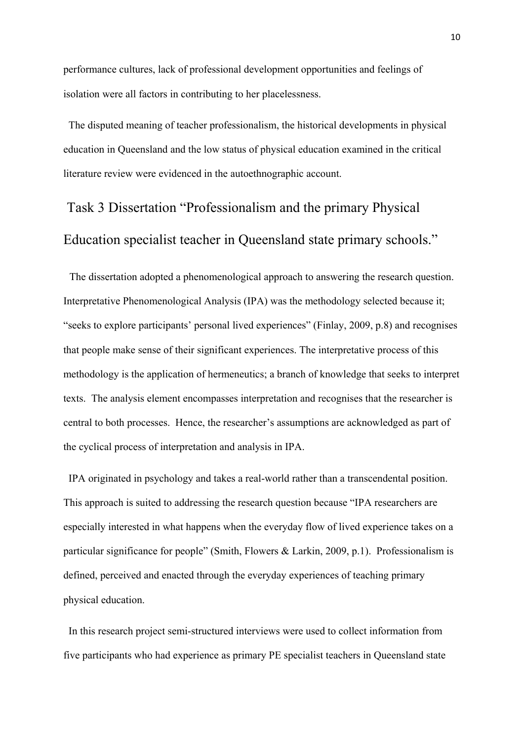performance cultures, lack of professional development opportunities and feelings of isolation were all factors in contributing to her placelessness.

 The disputed meaning of teacher professionalism, the historical developments in physical education in Queensland and the low status of physical education examined in the critical literature review were evidenced in the autoethnographic account.

# Task 3 Dissertation "Professionalism and the primary Physical Education specialist teacher in Queensland state primary schools."

 The dissertation adopted a phenomenological approach to answering the research question. Interpretative Phenomenological Analysis (IPA) was the methodology selected because it; "seeks to explore participants' personal lived experiences" (Finlay, 2009, p.8) and recognises that people make sense of their significant experiences. The interpretative process of this methodology is the application of hermeneutics; a branch of knowledge that seeks to interpret texts. The analysis element encompasses interpretation and recognises that the researcher is central to both processes. Hence, the researcher's assumptions are acknowledged as part of the cyclical process of interpretation and analysis in IPA.

 IPA originated in psychology and takes a real-world rather than a transcendental position. This approach is suited to addressing the research question because "IPA researchers are especially interested in what happens when the everyday flow of lived experience takes on a particular significance for people" (Smith, Flowers & Larkin, 2009, p.1). Professionalism is defined, perceived and enacted through the everyday experiences of teaching primary physical education.

 In this research project semi-structured interviews were used to collect information from five participants who had experience as primary PE specialist teachers in Queensland state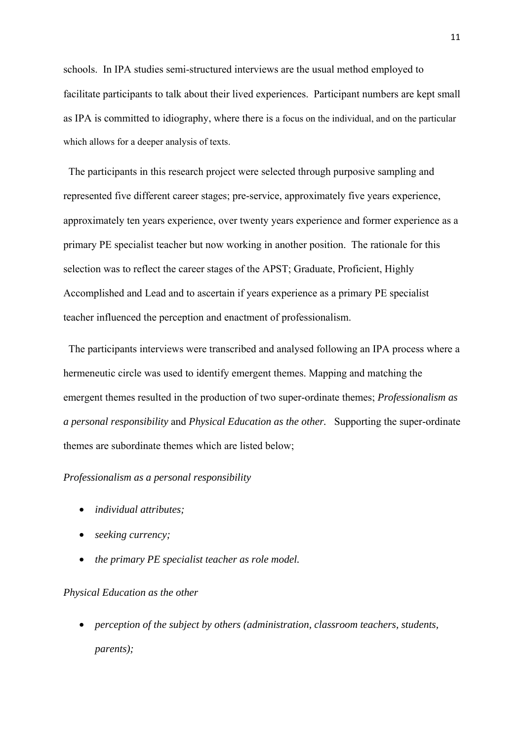schools. In IPA studies semi-structured interviews are the usual method employed to facilitate participants to talk about their lived experiences. Participant numbers are kept small as IPA is committed to idiography, where there is a focus on the individual, and on the particular which allows for a deeper analysis of texts.

 The participants in this research project were selected through purposive sampling and represented five different career stages; pre-service, approximately five years experience, approximately ten years experience, over twenty years experience and former experience as a primary PE specialist teacher but now working in another position. The rationale for this selection was to reflect the career stages of the APST; Graduate, Proficient, Highly Accomplished and Lead and to ascertain if years experience as a primary PE specialist teacher influenced the perception and enactment of professionalism.

 The participants interviews were transcribed and analysed following an IPA process where a hermeneutic circle was used to identify emergent themes. Mapping and matching the emergent themes resulted in the production of two super-ordinate themes; *Professionalism as a personal responsibility* and *Physical Education as the other.* Supporting the super-ordinate themes are subordinate themes which are listed below;

#### *Professionalism as a personal responsibility*

- *individual attributes;*
- *seeking currency;*
- *the primary PE specialist teacher as role model.*

#### *Physical Education as the other*

• *perception of the subject by others (administration, classroom teachers, students, parents);*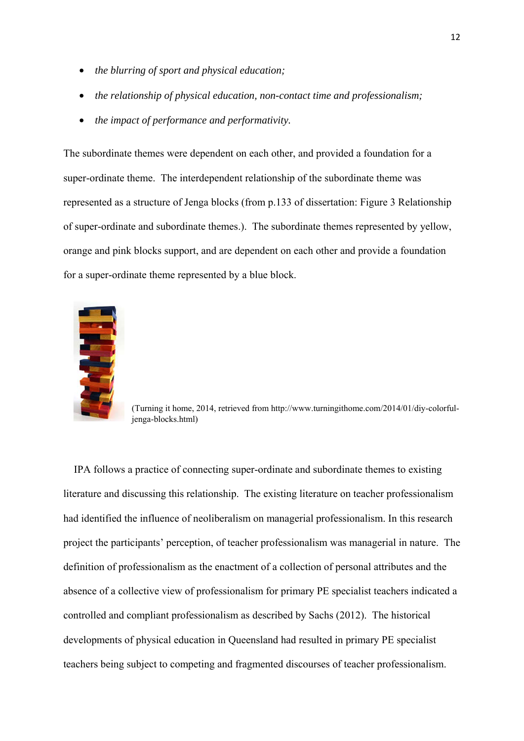- *the blurring of sport and physical education;*
- *the relationship of physical education, non-contact time and professionalism;*
- *the impact of performance and performativity.*

The subordinate themes were dependent on each other, and provided a foundation for a super-ordinate theme. The interdependent relationship of the subordinate theme was represented as a structure of Jenga blocks (from p.133 of dissertation: Figure 3 Relationship of super-ordinate and subordinate themes.). The subordinate themes represented by yellow, orange and pink blocks support, and are dependent on each other and provide a foundation for a super-ordinate theme represented by a blue block.



(Turning it home, 2014, retrieved from http://www.turningithome.com/2014/01/diy-colorfuljenga-blocks.html)

 IPA follows a practice of connecting super-ordinate and subordinate themes to existing literature and discussing this relationship. The existing literature on teacher professionalism had identified the influence of neoliberalism on managerial professionalism. In this research project the participants' perception, of teacher professionalism was managerial in nature. The definition of professionalism as the enactment of a collection of personal attributes and the absence of a collective view of professionalism for primary PE specialist teachers indicated a controlled and compliant professionalism as described by Sachs (2012). The historical developments of physical education in Queensland had resulted in primary PE specialist teachers being subject to competing and fragmented discourses of teacher professionalism.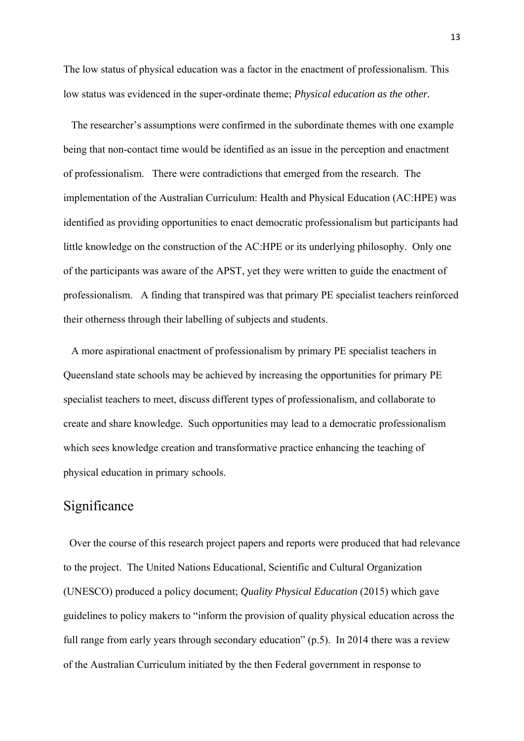The low status of physical education was a factor in the enactment of professionalism. This low status was evidenced in the super-ordinate theme; *Physical education as the other.*

 The researcher's assumptions were confirmed in the subordinate themes with one example being that non-contact time would be identified as an issue in the perception and enactment of professionalism. There were contradictions that emerged from the research. The implementation of the Australian Curriculum: Health and Physical Education (AC:HPE) was identified as providing opportunities to enact democratic professionalism but participants had little knowledge on the construction of the AC:HPE or its underlying philosophy. Only one of the participants was aware of the APST, yet they were written to guide the enactment of professionalism. A finding that transpired was that primary PE specialist teachers reinforced their otherness through their labelling of subjects and students.

 A more aspirational enactment of professionalism by primary PE specialist teachers in Queensland state schools may be achieved by increasing the opportunities for primary PE specialist teachers to meet, discuss different types of professionalism, and collaborate to create and share knowledge. Such opportunities may lead to a democratic professionalism which sees knowledge creation and transformative practice enhancing the teaching of physical education in primary schools.

## Significance

 Over the course of this research project papers and reports were produced that had relevance to the project. The United Nations Educational, Scientific and Cultural Organization (UNESCO) produced a policy document; *Quality Physical Education* (2015) which gave guidelines to policy makers to "inform the provision of quality physical education across the full range from early years through secondary education" (p.5). In 2014 there was a review of the Australian Curriculum initiated by the then Federal government in response to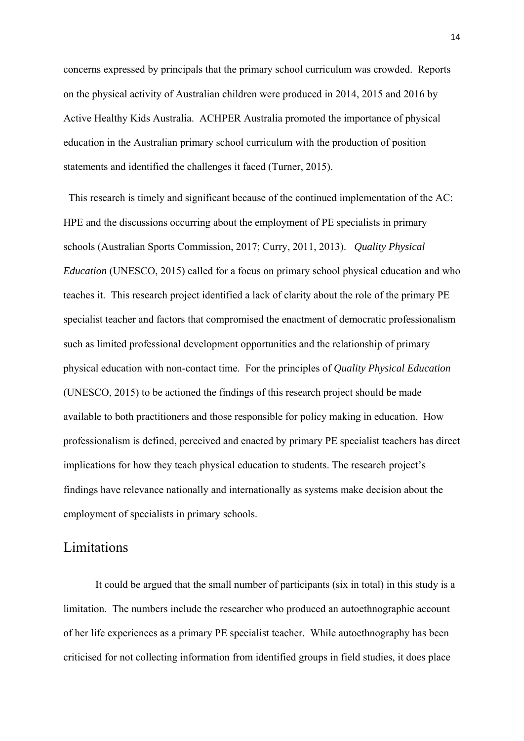concerns expressed by principals that the primary school curriculum was crowded. Reports on the physical activity of Australian children were produced in 2014, 2015 and 2016 by Active Healthy Kids Australia. ACHPER Australia promoted the importance of physical education in the Australian primary school curriculum with the production of position statements and identified the challenges it faced (Turner, 2015).

 This research is timely and significant because of the continued implementation of the AC: HPE and the discussions occurring about the employment of PE specialists in primary schools (Australian Sports Commission, 2017; Curry, 2011, 2013). *Quality Physical Education* (UNESCO, 2015) called for a focus on primary school physical education and who teaches it. This research project identified a lack of clarity about the role of the primary PE specialist teacher and factors that compromised the enactment of democratic professionalism such as limited professional development opportunities and the relationship of primary physical education with non-contact time. For the principles of *Quality Physical Education* (UNESCO, 2015) to be actioned the findings of this research project should be made available to both practitioners and those responsible for policy making in education. How professionalism is defined, perceived and enacted by primary PE specialist teachers has direct implications for how they teach physical education to students. The research project's findings have relevance nationally and internationally as systems make decision about the employment of specialists in primary schools.

## Limitations

 It could be argued that the small number of participants (six in total) in this study is a limitation. The numbers include the researcher who produced an autoethnographic account of her life experiences as a primary PE specialist teacher. While autoethnography has been criticised for not collecting information from identified groups in field studies, it does place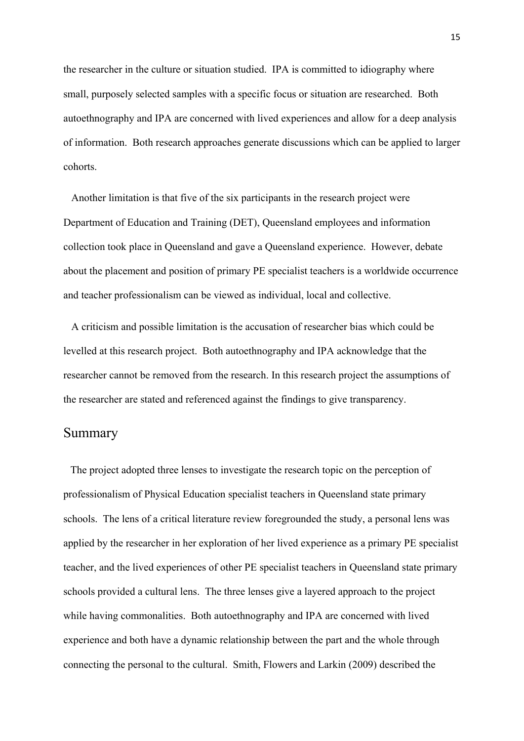the researcher in the culture or situation studied. IPA is committed to idiography where small, purposely selected samples with a specific focus or situation are researched. Both autoethnography and IPA are concerned with lived experiences and allow for a deep analysis of information. Both research approaches generate discussions which can be applied to larger cohorts.

 Another limitation is that five of the six participants in the research project were Department of Education and Training (DET), Queensland employees and information collection took place in Queensland and gave a Queensland experience. However, debate about the placement and position of primary PE specialist teachers is a worldwide occurrence and teacher professionalism can be viewed as individual, local and collective.

 A criticism and possible limitation is the accusation of researcher bias which could be levelled at this research project. Both autoethnography and IPA acknowledge that the researcher cannot be removed from the research. In this research project the assumptions of the researcher are stated and referenced against the findings to give transparency.

### Summary

 The project adopted three lenses to investigate the research topic on the perception of professionalism of Physical Education specialist teachers in Queensland state primary schools. The lens of a critical literature review foregrounded the study, a personal lens was applied by the researcher in her exploration of her lived experience as a primary PE specialist teacher, and the lived experiences of other PE specialist teachers in Queensland state primary schools provided a cultural lens. The three lenses give a layered approach to the project while having commonalities. Both autoethnography and IPA are concerned with lived experience and both have a dynamic relationship between the part and the whole through connecting the personal to the cultural. Smith, Flowers and Larkin (2009) described the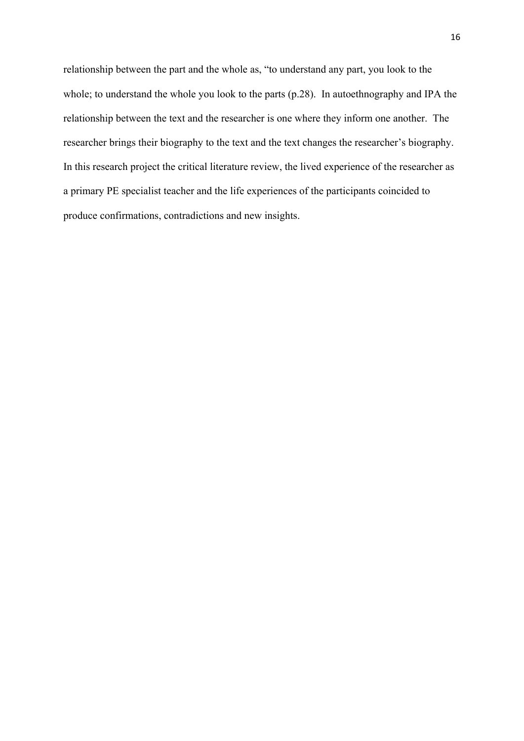relationship between the part and the whole as, "to understand any part, you look to the whole; to understand the whole you look to the parts (p.28). In autoethnography and IPA the relationship between the text and the researcher is one where they inform one another. The researcher brings their biography to the text and the text changes the researcher's biography. In this research project the critical literature review, the lived experience of the researcher as a primary PE specialist teacher and the life experiences of the participants coincided to produce confirmations, contradictions and new insights.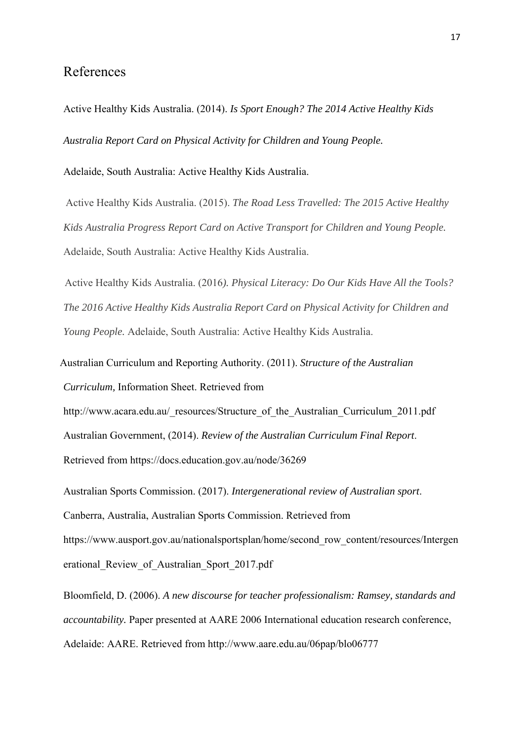### References

Active Healthy Kids Australia. (2014). *Is Sport Enough? The 2014 Active Healthy Kids Australia Report Card on Physical Activity for Children and Young People.* 

Adelaide, South Australia: Active Healthy Kids Australia.

 Active Healthy Kids Australia. (2015). *The Road Less Travelled: The 2015 Active Healthy Kids Australia Progress Report Card on Active Transport for Children and Young People.* Adelaide, South Australia: Active Healthy Kids Australia.

 Active Healthy Kids Australia. (2016*). Physical Literacy: Do Our Kids Have All the Tools? The 2016 Active Healthy Kids Australia Report Card on Physical Activity for Children and Young People.* Adelaide, South Australia: Active Healthy Kids Australia.

 Australian Curriculum and Reporting Authority. (2011). *Structure of the Australian Curriculum,* Information Sheet. Retrieved from

http://www.acara.edu.au/\_resources/Structure\_of\_the\_Australian\_Curriculum\_2011.pdf Australian Government, (2014). *Review of the Australian Curriculum Final Report*. Retrieved from https://docs.education.gov.au/node/36269

Australian Sports Commission. (2017). *Intergenerational review of Australian sport*. Canberra, Australia, Australian Sports Commission. Retrieved from https://www.ausport.gov.au/nationalsportsplan/home/second\_row\_content/resources/Intergen erational\_Review\_of\_Australian\_Sport\_2017.pdf

Bloomfield, D. (2006). *A new discourse for teacher professionalism: Ramsey, standards and accountability.* Paper presented at AARE 2006 International education research conference, Adelaide: AARE. Retrieved from http://www.aare.edu.au/06pap/blo06777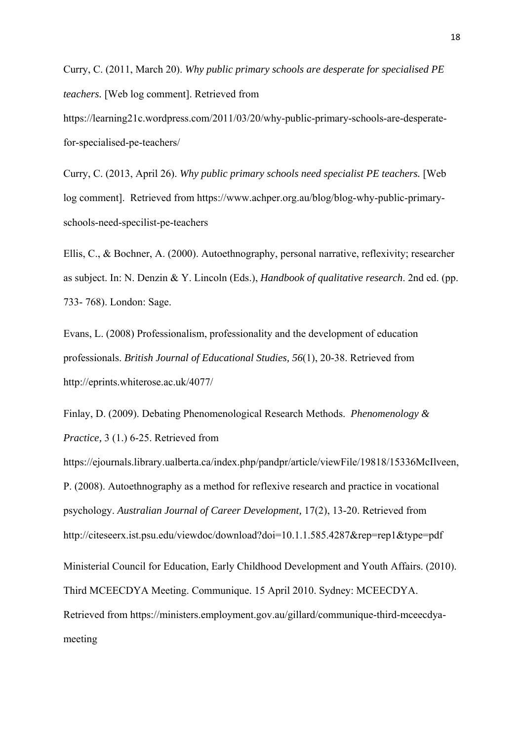Curry, C. (2011, March 20). *Why public primary schools are desperate for specialised PE teachers.* [Web log comment]. Retrieved from https://learning21c.wordpress.com/2011/03/20/why-public-primary-schools-are-desperatefor-specialised-pe-teachers/

Curry, C. (2013, April 26). *Why public primary schools need specialist PE teachers.* [Web log comment]. Retrieved from https://www.achper.org.au/blog/blog-why-public-primaryschools-need-specilist-pe-teachers

Ellis, C., & Bochner, A. (2000). Autoethnography, personal narrative, reflexivity; researcher as subject. In: N. Denzin & Y. Lincoln (Eds.), *Handbook of qualitative research*. 2nd ed. (pp. 733- 768). London: Sage.

Evans, L. (2008) Professionalism, professionality and the development of education professionals. *British Journal of Educational Studies, 56*(1), 20-38. Retrieved from http://eprints.whiterose.ac.uk/4077/

Finlay, D. (2009). Debating Phenomenological Research Methods. *Phenomenology & Practice,* 3 (1.) 6-25. Retrieved from

https://ejournals.library.ualberta.ca/index.php/pandpr/article/viewFile/19818/15336McIlveen, P. (2008). Autoethnography as a method for reflexive research and practice in vocational psychology. *Australian Journal of Career Development,* 17(2), 13-20. Retrieved from http://citeseerx.ist.psu.edu/viewdoc/download?doi=10.1.1.585.4287&rep=rep1&type=pdf Ministerial Council for Education, Early Childhood Development and Youth Affairs. (2010). Third MCEECDYA Meeting. Communique. 15 April 2010. Sydney: MCEECDYA. Retrieved from https://ministers.employment.gov.au/gillard/communique-third-mceecdyameeting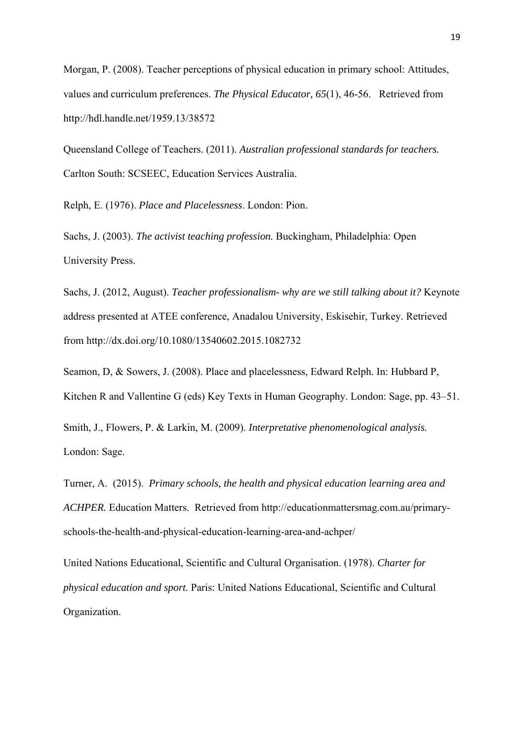Morgan, P. (2008). Teacher perceptions of physical education in primary school: Attitudes, values and curriculum preferences. *The Physical Educator, 65*(1), 46-56. Retrieved from http://hdl.handle.net/1959.13/38572

Queensland College of Teachers. (2011). *Australian professional standards for teachers.*  Carlton South: SCSEEC, Education Services Australia.

Relph, E. (1976). *Place and Placelessness*. London: Pion.

Sachs, J. (2003). *The activist teaching profession.* Buckingham, Philadelphia: Open University Press.

Sachs, J. (2012, August). *Teacher professionalism- why are we still talking about it?* Keynote address presented at ATEE conference, Anadalou University, Eskisehir, Turkey. Retrieved from http://dx.doi.org/10.1080/13540602.2015.1082732

Seamon, D, & Sowers, J. (2008). Place and placelessness, Edward Relph. In: Hubbard P, Kitchen R and Vallentine G (eds) Key Texts in Human Geography. London: Sage, pp. 43–51.

Smith, J., Flowers, P. & Larkin, M. (2009). *Interpretative phenomenological analysis.* London: Sage.

Turner, A. (2015). *Primary schools, the health and physical education learning area and ACHPER.* Education Matters. Retrieved from http://educationmattersmag.com.au/primaryschools-the-health-and-physical-education-learning-area-and-achper/

United Nations Educational, Scientific and Cultural Organisation. (1978). *Charter for physical education and sport.* Paris: United Nations Educational, Scientific and Cultural Organization.